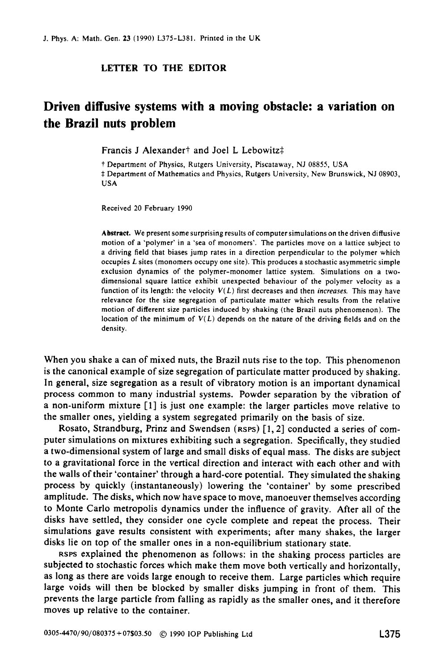## **LETTER TO THE EDITOR**

## **Driven diffusive systems with a moving obstacle: a variation on the Brazil nuts problem**

Francis J Alexander<sup>†</sup> and Joel L Lebowitz<sup>†</sup>

† Department of Physics, Rutgers University, Piscataway, NJ 08855, USA <sup>‡</sup> Department of Mathematics and Physics, Rutgers University, New Brunswick, NJ 08903, **USA** 

Received 20 February 1990

Abstract. We present some surprising results of computer simulations on the driven diffusive motion of a 'polymer' in a 'sea of monomers'. The particles move on a lattice subject to a driving field that biases jump rates in a direction perpendicular to the polymer which occupies *L* sites (monomers occupy one site). This produces a stochastic asymmetric simple exclusion dynamics of the polymer-monomer lattice system. Simulations on a twodimensional square lattice exhibit unexpected behaviour of the polymer velocity as a function of its length: the velocity  $V(L)$  first decreases and then *increases*. This may have relevance for the size segregation of particulate matter which results from the relative motion of different size particles induced by shaking (the Brazil nuts phenomenon). The location of the minimum of *V( L)* depends **on** the nature of the driving fields and **on** the density.

When you shake a can of mixed nuts, the Brazil nuts rise to the top. This phenomenon is the canonical example of size segregation of particulate matter produced by shaking. In general, size segregation as a result of vibratory motion is an important dynamical process common to many industrial systems. Powder separation by the vibration of a non-uniform mixture **[l]** is just one example: the larger particles move relative to the smaller ones, yielding a system segregated primarily on the basis of size.

Rosato, Strandburg, Prinz and Swendsen **(RSPS) [l, 21** conducted a series of computer simulations on mixtures exhibiting such a segregation. Specifically, they studied a two-dimensional system of large and small disks of equal mass. The disks are subject to a gravitational force in the vertical direction and interact with each other and with the walls of their 'container' through a hard-core potential. They simulated the shaking process by quickly (instantaneously) lowering the 'container' by some prescribed amplitude. The disks, which now have space to move, manoeuver themselves according to Monte Carlo metropolis dynamics under the influence of gravity. After all of the disks have settled, they consider one cycle complete and repeat the process. Their simulations gave results consistent with experiments; after many shakes, the larger disks lie on top of the smaller ones in a non-equilibrium stationary state.

**RSPS** explained the phenomenon as follows: in the shaking process particles are subjected to stochastic forces which make them move both vertically and horizontally, as long as there are voids large enough to receive them. Large particles which require large voids will then be blocked by smaller disks jumping in front of them. This prevents the large particle from falling as rapidly as the smaller ones, and it therefore moves up relative to the container.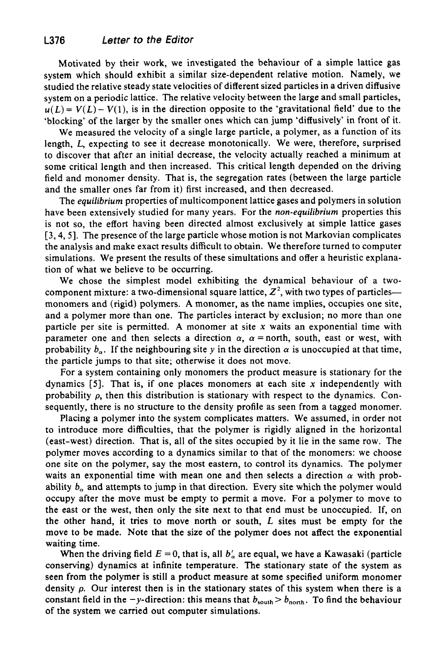Motivated by their work, we investigated the behaviour of a simple lattice gas system which should exhibit a similar size-dependent relative motion. Namely, we studied the relative steady state velocities of different sized particles in a driven diffusive system on a periodic lattice. The relative velocity between the large and small particles,  $u(L) = V(L) - V(1)$ , is in the direction opposite to the 'gravitational field' due to the 'blocking' of the larger by the smaller ones which can jump 'diffusively' in front of it.

We measured the velocity of a single large particle, a polymer, as a function of its length, *L,* expecting to see it decrease monotonically. We were, therefore, surprised to discover that after an initial decrease, the velocity actually reached a minimum at some critical length and then increased. This critical length depended on the driving field and monomer density. That is, the segregation rates (between the large particle and the smaller ones far from it) first increased, and then decreased.

The *equilibrium* properties of multicomponent lattice gases and polymers in solution have been extensively studied for many years. For the *non-equilibrium* properties this is not so, the effort having been directed almost exclusively at simple lattice gases **[3,4,5].** The presence of the large particle whose motion is not Markovian complicates the analysis and make exact results difficult to obtain. We therefore turned to computer simulations. We present the results of these simultations and offer a heuristic explanation of what we believe to be occurring.

We chose the simplest model exhibiting the dynamical behaviour of a twocomponent mixture: a two-dimensional square lattice,  $Z^2$ , with two types of particles-monomers and (rigid) polymers. **A** monomer, as the name implies, occupies one site, and a polymer more than one. The particles interact by exclusion; no more than one particle per site is permitted. **A** monomer at site **x** waits an exponential time with parameter one and then selects a direction  $\alpha$ ,  $\alpha$  = north, south, east or west, with probability  $b_{\alpha}$ . If the neighbouring site y in the direction  $\alpha$  is unoccupied at that time, the particle jumps to that site; otherwise it does not move.

For a system containing only monomers the product measure is stationary for the dynamics *[5].* That is, if one places monomers at each site **x** independently with probability  $\rho$ , then this distribution is stationary with respect to the dynamics. Consequently, there is no structure to the density profile as seen from a tagged monomer.

Placing a polymer into the system complicates matters. We assumed, in order not to introduce more difficulties, that the polymer is rigidly aligned in the horizontal (east-west) direction. That is, all of the sites occupied by it lie in the same row. The polymer moves according to a dynamics similar to that of the monomers: we choose one site on the polymer, say the most eastern, to control its dynamics. The polymer waits an exponential time with mean one and then selects a direction  $\alpha$  with probability  $b<sub>o</sub>$  and attempts to jump in that direction. Every site which the polymer would occupy after the move must be empty to permit a move. For a polymer to move to the east or the west, then only the site next to that end must be unoccupied. If, on the other hand, it tries to move north or south, *L* sites must be empty for the move to be made. Note that the size of the polymer does not affect the exponential waiting time.

When the driving field  $E = 0$ , that is, all  $b'_{\alpha}$  are equal, we have a Kawasaki (particle conserving) dynamics at infinite temperature. The stationary state of the system as seen from the polymer is still a product measure at some specified uniform monomer density *p.* Our interest then is in the stationary states of this system when there is a constant field in the  $-y$ -direction: this means that  $b_{\text{south}} > b_{\text{north}}$ . To find the behaviour of the system we carried out computer simulations.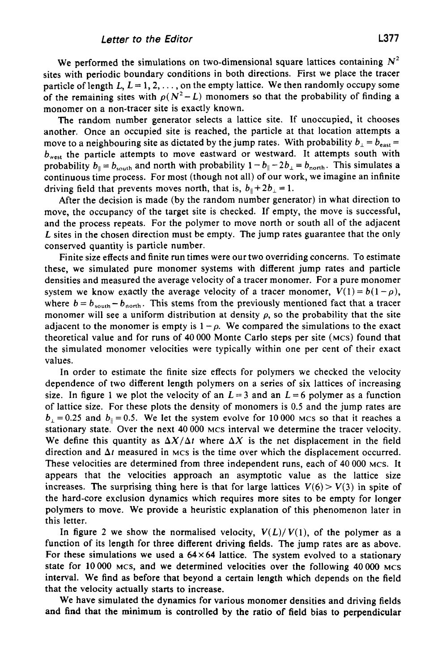We performed the simulations on two-dimensional square lattices containing  $N^2$ sites with periodic boundary conditions in both directions. First we place the tracer particle of length  $L, L = 1, 2, \ldots$ , on the empty lattice. We then randomly occupy some of the remaining sites with  $p(N^2-L)$  monomers so that the probability of finding a monomer on a non-tracer site is exactly known.

The random number generator selects a lattice site. If unoccupied, it chooses another. Once an occupied site is reached, the particle at that location attempts a move to a neighbouring site as dictated by the jump rates. With probability  $b_{\perp} = b_{\text{east}} =$  $b_{\text{west}}$  the particle attempts to move eastward or westward. It attempts south with probability  $b_{\parallel} = b_{\text{south}}$  and north with probability  $1 - b_{\parallel} - 2b_{\perp} = b_{\text{north}}$ . This simulates a continuous time process. For most (though not all) of our work, we imagine an infinite driving field that prevents moves north, that is,  $b_{\parallel} + 2b_{\perp} = 1$ .

After the decision is made (by the random number generator) in what direction to move, the occupancy of the target site is checked. If empty, the move is successful, and the process repeats. For the polymer to move north or south all of the adjacent L sites in the chosen direction must be empty. The jump rates guarantee that the only conserved quantity is particle number.

Finite size effects and finite run times were our two overriding concerns. To estimate these, we simulated pure monomer systems with different jump rates and particle densities and measured the average velocity of a tracer monomer. For a pure monomer system we know exactly the average velocity of a tracer monomer,  $V(1) = b(1 - \rho)$ , where  $b = b_{\text{south}} - b_{\text{north}}$ . This stems from the previously mentioned fact that a tracer monomer will see a uniform distribution at density  $\rho$ , so the probability that the site adjacent to the monomer is empty is  $1 - \rho$ . We compared the simulations to the exact theoretical value and for runs of **40** 000 Monte Carlo steps per site **(MCS)** found that the simulated monomer velocities were typically within one per cent of their exact values.

In order to estimate the finite size effects for polymers we checked the velocity dependence of two different length polymers on a series of six lattices of increasing size. In figure 1 we plot the velocity of an  $L=3$  and an  $L=6$  polymer as a function of lattice size. For these plots the density of monomers is 0.5 and the jump rates are  $b_1 = 0.25$  and  $b_{\parallel} = 0.5$ . We let the system evolve for 10000 MCs so that it reaches a stationary state. Over the next 40000 **MCS** interval we determine the tracer velocity. We define this quantity as  $\Delta X/\Delta t$  where  $\Delta X$  is the net displacement in the field direction and  $\Delta t$  measured in MCS is the time over which the displacement occurred. These velocities are determined from three independent runs, each of **40** 000 **MCS.** It appears that the velocities approach an asymptotic value as the lattice size increases. The surprising thing here is that for large lattices  $V(6) > V(3)$  in spite of the hard-core exclusion dynamics which requires more sites to be empty for longer polymers to move. We provide a heuristic explanation of this phenomenon later in this letter.

In figure 2 we show the normalised velocity,  $V(L)/V(1)$ , of the polymer as a function of its length for three different driving fields. The jump rates are as above. For these simulations we used a  $64 \times 64$  lattice. The system evolved to a stationary state for 10000 **MCS,** and we determined velocities over the following **40000 MCS**  interval. We find as before that beyond a certain length which depends on the field that the velocity actually starts to increase.

We have simulated the dynamics for various monomer densities and driving fields and **find** that the minimum is controlled by the ratio of field bias to perpendicular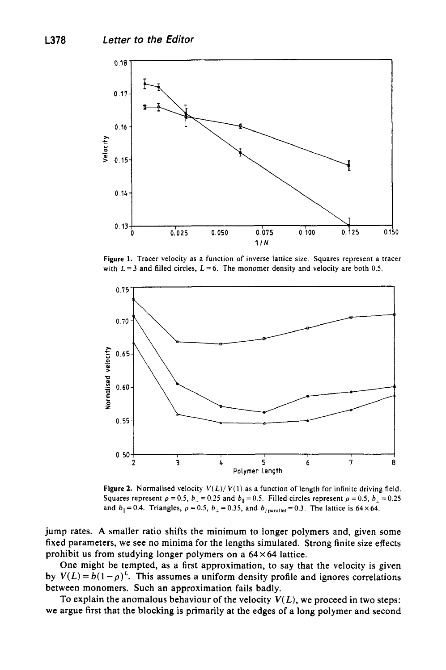

**Figure 1.** Tracer velocity as a function of inverse lattice size. Squares represent a tracer with  $L = 3$  and filled circles,  $L = 6$ . The monomer density and velocity are both 0.5.



**Figure 2.** Normalised velocity  $V(L)/V(1)$  as a function of length for infinite driving field. Squares represent  $\rho = 0.5$ ,  $b_{\perp} = 0.25$  and  $b_{\parallel} = 0.5$ . Filled circles represent  $\rho = 0.5$ ,  $b_{\perp} = 0.25$ and  $b_{\parallel}=0.4$ . Triangles,  $\rho=0.5$ ,  $b_{\perp}=0.35$ , and  $b_{/parallel}=0.3$ . The lattice is 64×64.

jump rates. **A** smaller ratio shifts the minimum to longer polymers and, given some fixed parameters, we see no minima for the lengths simulated. Strong finite size effects prohibit us from studying longer polymers on a **64 x 64** lattice.

One might be tempted, as a first approximation, to say that the velocity is given by  $V(L) = b(1 - \rho)^L$ . This assumes a uniform density profile and ignores correlations between monomers. Such an approximation fails badly.

To explain the anomalous behaviour of the velocity  $V(L)$ , we proceed in two steps: we argue first that the blocking is primarily at the edges of a long polymer and second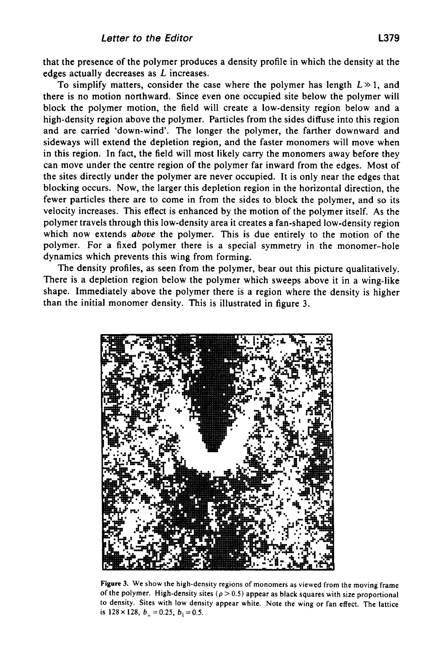that the presence of the polymer produces a density profile in which the density at the edges actually decreases as *L* increases.

To simplify matters, consider the case where the polymer has length  $L \gg 1$ , and there is no motion northward. Since even one occupied site below the polymer will block the polymer motion, the field will create a low-density region below and a high-density region above the polymer. Particles from the sides diffuse into this region and are carried 'down-wind'. The longer the polymer, the farther downward and sideways will extend the depletion region, and the faster monomers will move when in this region. In fact, the field will most likely carry the monomers away before they can move under the centre region of the polymer far inward from the edges. Most of the sites directly under the polymer are never occupied. It is only near the edges that blocking occurs. Now, the larger this depletion region in the horizontal direction, the fewer particles there are to come in from the sides to block the polymer, and so its velocity increases. This effect is enhanced by the motion of the polymer itself. **As** the polymer travels through this low-density area it creates a fan-shaped low-density region which now extends *above* the polymer. This is due entirely to the motion of the polymer. For a fixed polymer there is a special symmetry in the monomer-hole dynamics which prevents this wing from forming.

The density profiles, as seen from the polymer, bear out this picture qualitatively. There is a depletion region below the polymer which sweeps above it in a wing-like shape. Immediately above the polymer there is a region where the density is higher than the initial monomer density. This is illustrated in figure 3.



**Figure 3. We show the high-density regions of monomers as viewed from the moving frame**  of the polymer. High-density sites  $(p > 0.5)$  appear as black squares with size proportional *to* **density. Sites with low density appear white. Note the wing or fan effect. The lattice is 128 × 128,**  $b_{\perp} = 0.25$ ,  $b_{\parallel} = 0.5$ .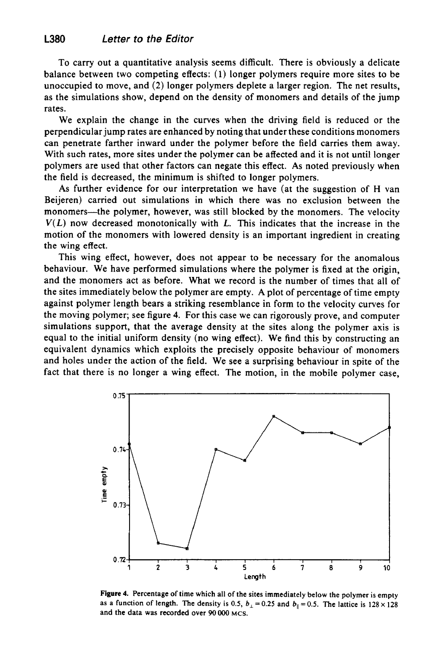To carry out a quantitative analysis seems difficult. There is obviously a delicate balance between two competing effects: (1) longer polymers require more sites to be unoccupied to move, and (2) longer polymers deplete a larger region. The net results, as the simulations show, depend on the density of monomers and details of the jump rates.

We explain the change in the curves when the driving field is reduced or the perpendicular jump rates are enhanced by noting that under these conditions monomers can penetrate farther inward under the polymer before the field carries them away. With such rates, more sites under the polymer can be affected and it is not until longer polymers are used that other factors can negate this effect. **As** noted previously when the field is decreased, the minimum is shifted to longer polymers.

**As** further evidence for our interpretation we have (at the suggestion of H van Beijeren) carried out simulations in which there was no exclusion between the monomers-the polymer, however, was still blocked by the monomers. The velocity  $V(L)$  now decreased monotonically with  $L$ . This indicates that the increase in the motion of the monomers with lowered density is an important ingredient in creating the wing effect.

This wing effect, however, does not appear to be necessary for the anomalous behaviour. We have performed simulations where the polymer is fixed at the origin, and the monomers act as before. What we record is the number of times that all of the sites immediately below the polymer are empty. **A** plot of percentage of time empty against polymer length bears a striking resemblance in form to the velocity curves for the moving polymer; see figure **4.** For this case we can rigorously prove, and computer simulations support, that the average density at the sites along the polymer axis is equal to the initial uniform density (no wing effect). We find this by constructing an equivalent dynamics which exploits the precisely opposite behaviour of monomers and holes under the action of the field. We see a surprising behaviour in spite of the fact that there is no longer a wing effect. The motion, in the mobile polymer case,



**Figure 4. Percentage of time which all of the sites immediately below the polymer is empty as a function of length. The density is 0.5,**  $b_{\perp} = 0.25$  **and**  $b_{\parallel} = 0.5$ **. The lattice is**  $128 \times 128$ **and the data was recorded over 90** OOO **MCS.**